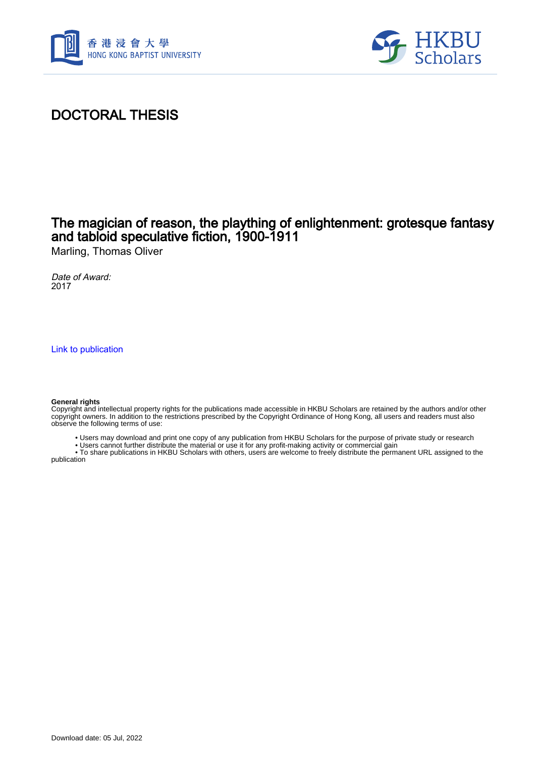



# DOCTORAL THESIS

## The magician of reason, the plaything of enlightenment: grotesque fantasy and tabloid speculative fiction, 1900-1911

Marling, Thomas Oliver

Date of Award: 2017

[Link to publication](https://scholars.hkbu.edu.hk/en/studentTheses/2303e318-3898-44b3-8e57-0abd955be093)

#### **General rights**

Copyright and intellectual property rights for the publications made accessible in HKBU Scholars are retained by the authors and/or other copyright owners. In addition to the restrictions prescribed by the Copyright Ordinance of Hong Kong, all users and readers must also observe the following terms of use:

- Users may download and print one copy of any publication from HKBU Scholars for the purpose of private study or research
- Users cannot further distribute the material or use it for any profit-making activity or commercial gain

 • To share publications in HKBU Scholars with others, users are welcome to freely distribute the permanent URL assigned to the publication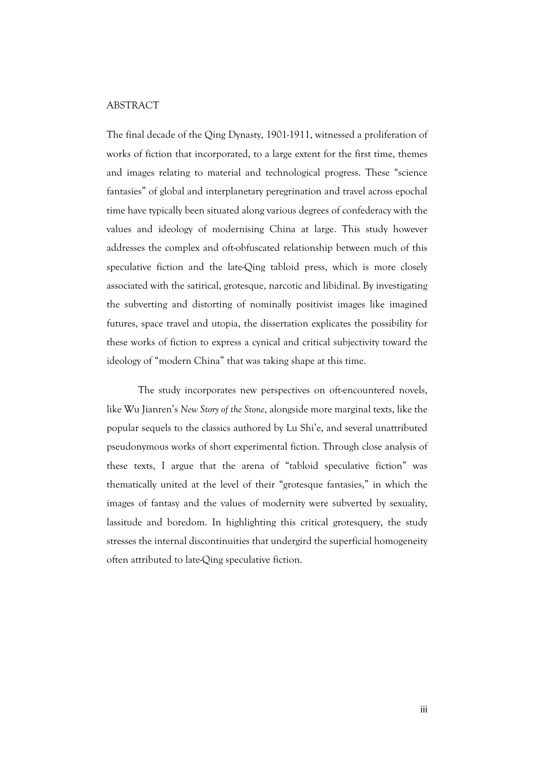### ABSTRACT

The final decade of the Qing Dynasty, 1901-1911, witnessed a proliferation of works of fiction that incorporated, to a large extent for the first time, themes and images relating to material and technological progress. These "science fantasies" of global and interplanetary peregrination and travel across epochal time have typically been situated along various degrees of confederacy with the values and ideology of modernising China at large. This study however addresses the complex and oft-obfuscated relationship between much of this speculative fiction and the late-Qing tabloid press, which is more closely associated with the satirical, grotesque, narcotic and libidinal. By investigating the subverting and distorting of nominally positivist images like imagined futures, space travel and utopia, the dissertation explicates the possibility for these works of fiction to express a cynical and critical subjectivity toward the ideology of "modern China" that was taking shape at this time.

The study incorporates new perspectives on oft-encountered novels, like Wu Jianren's *New Story of the Stone*, alongside more marginal texts, like the popular sequels to the classics authored by Lu Shi'e, and several unattributed pseudonymous works of short experimental fiction. Through close analysis of these texts, I argue that the arena of "tabloid speculative fiction" was thematically united at the level of their "grotesque fantasies," in which the images of fantasy and the values of modernity were subverted by sexuality, lassitude and boredom. In highlighting this critical grotesquery, the study stresses the internal discontinuities that undergird the superficial homogeneity often attributed to late-Qing speculative fiction.

iii